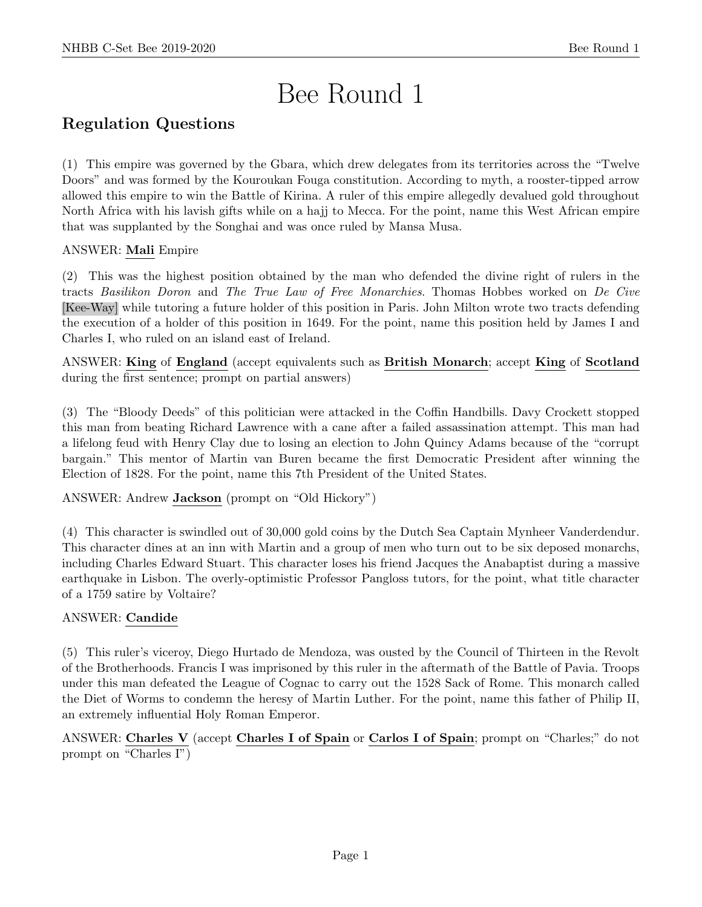# Bee Round 1

## Regulation Questions

(1) This empire was governed by the Gbara, which drew delegates from its territories across the "Twelve Doors" and was formed by the Kouroukan Fouga constitution. According to myth, a rooster-tipped arrow allowed this empire to win the Battle of Kirina. A ruler of this empire allegedly devalued gold throughout North Africa with his lavish gifts while on a hajj to Mecca. For the point, name this West African empire that was supplanted by the Songhai and was once ruled by Mansa Musa.

#### ANSWER: Mali Empire

(2) This was the highest position obtained by the man who defended the divine right of rulers in the tracts Basilikon Doron and The True Law of Free Monarchies. Thomas Hobbes worked on De Cive [Kee-Way] while tutoring a future holder of this position in Paris. John Milton wrote two tracts defending the execution of a holder of this position in 1649. For the point, name this position held by James I and Charles I, who ruled on an island east of Ireland.

ANSWER: King of England (accept equivalents such as British Monarch; accept King of Scotland during the first sentence; prompt on partial answers)

(3) The "Bloody Deeds" of this politician were attacked in the Coffin Handbills. Davy Crockett stopped this man from beating Richard Lawrence with a cane after a failed assassination attempt. This man had a lifelong feud with Henry Clay due to losing an election to John Quincy Adams because of the "corrupt bargain." This mentor of Martin van Buren became the first Democratic President after winning the Election of 1828. For the point, name this 7th President of the United States.

ANSWER: Andrew Jackson (prompt on "Old Hickory")

(4) This character is swindled out of 30,000 gold coins by the Dutch Sea Captain Mynheer Vanderdendur. This character dines at an inn with Martin and a group of men who turn out to be six deposed monarchs, including Charles Edward Stuart. This character loses his friend Jacques the Anabaptist during a massive earthquake in Lisbon. The overly-optimistic Professor Pangloss tutors, for the point, what title character of a 1759 satire by Voltaire?

#### ANSWER: Candide

(5) This ruler's viceroy, Diego Hurtado de Mendoza, was ousted by the Council of Thirteen in the Revolt of the Brotherhoods. Francis I was imprisoned by this ruler in the aftermath of the Battle of Pavia. Troops under this man defeated the League of Cognac to carry out the 1528 Sack of Rome. This monarch called the Diet of Worms to condemn the heresy of Martin Luther. For the point, name this father of Philip II, an extremely influential Holy Roman Emperor.

ANSWER: Charles V (accept Charles I of Spain or Carlos I of Spain; prompt on "Charles;" do not prompt on "Charles I")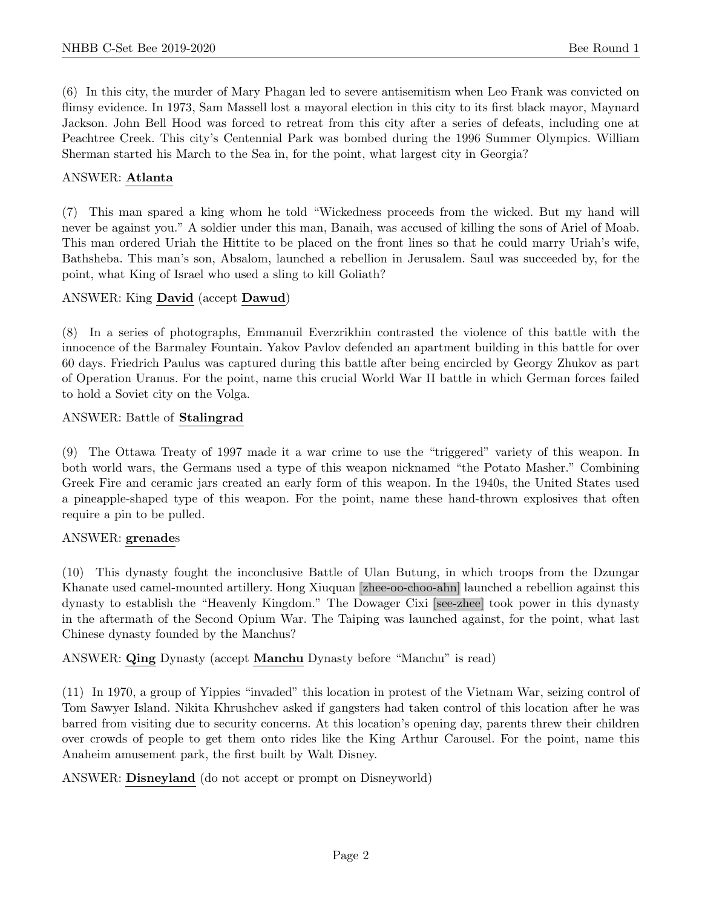(6) In this city, the murder of Mary Phagan led to severe antisemitism when Leo Frank was convicted on flimsy evidence. In 1973, Sam Massell lost a mayoral election in this city to its first black mayor, Maynard Jackson. John Bell Hood was forced to retreat from this city after a series of defeats, including one at Peachtree Creek. This city's Centennial Park was bombed during the 1996 Summer Olympics. William Sherman started his March to the Sea in, for the point, what largest city in Georgia?

#### ANSWER: Atlanta

(7) This man spared a king whom he told "Wickedness proceeds from the wicked. But my hand will never be against you." A soldier under this man, Banaih, was accused of killing the sons of Ariel of Moab. This man ordered Uriah the Hittite to be placed on the front lines so that he could marry Uriah's wife, Bathsheba. This man's son, Absalom, launched a rebellion in Jerusalem. Saul was succeeded by, for the point, what King of Israel who used a sling to kill Goliath?

#### ANSWER: King David (accept Dawud)

(8) In a series of photographs, Emmanuil Everzrikhin contrasted the violence of this battle with the innocence of the Barmaley Fountain. Yakov Pavlov defended an apartment building in this battle for over 60 days. Friedrich Paulus was captured during this battle after being encircled by Georgy Zhukov as part of Operation Uranus. For the point, name this crucial World War II battle in which German forces failed to hold a Soviet city on the Volga.

#### ANSWER: Battle of Stalingrad

(9) The Ottawa Treaty of 1997 made it a war crime to use the "triggered" variety of this weapon. In both world wars, the Germans used a type of this weapon nicknamed "the Potato Masher." Combining Greek Fire and ceramic jars created an early form of this weapon. In the 1940s, the United States used a pineapple-shaped type of this weapon. For the point, name these hand-thrown explosives that often require a pin to be pulled.

#### ANSWER: grenades

(10) This dynasty fought the inconclusive Battle of Ulan Butung, in which troops from the Dzungar Khanate used camel-mounted artillery. Hong Xiuquan [zhee-oo-choo-ahn] launched a rebellion against this dynasty to establish the "Heavenly Kingdom." The Dowager Cixi [see-zhee] took power in this dynasty in the aftermath of the Second Opium War. The Taiping was launched against, for the point, what last Chinese dynasty founded by the Manchus?

ANSWER: Qing Dynasty (accept Manchu Dynasty before "Manchu" is read)

(11) In 1970, a group of Yippies "invaded" this location in protest of the Vietnam War, seizing control of Tom Sawyer Island. Nikita Khrushchev asked if gangsters had taken control of this location after he was barred from visiting due to security concerns. At this location's opening day, parents threw their children over crowds of people to get them onto rides like the King Arthur Carousel. For the point, name this Anaheim amusement park, the first built by Walt Disney.

ANSWER: Disneyland (do not accept or prompt on Disneyworld)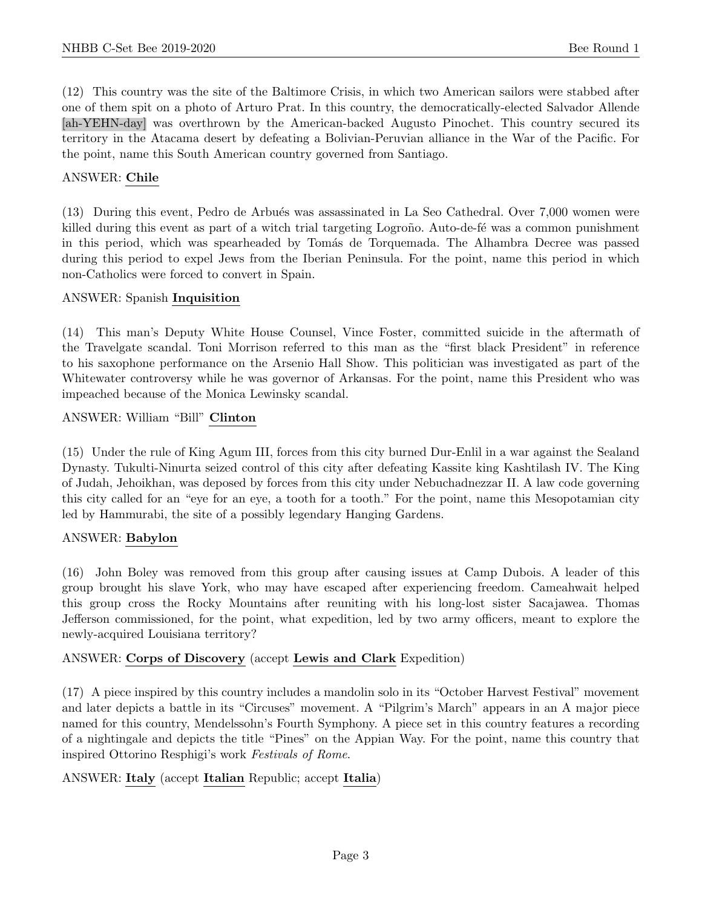(12) This country was the site of the Baltimore Crisis, in which two American sailors were stabbed after one of them spit on a photo of Arturo Prat. In this country, the democratically-elected Salvador Allende [ah-YEHN-day] was overthrown by the American-backed Augusto Pinochet. This country secured its territory in the Atacama desert by defeating a Bolivian-Peruvian alliance in the War of the Pacific. For the point, name this South American country governed from Santiago.

#### ANSWER: Chile

(13) During this event, Pedro de Arbu´es was assassinated in La Seo Cathedral. Over 7,000 women were killed during this event as part of a witch trial targeting Logroño. Auto-de-fé was a common punishment in this period, which was spearheaded by Tomás de Torquemada. The Alhambra Decree was passed during this period to expel Jews from the Iberian Peninsula. For the point, name this period in which non-Catholics were forced to convert in Spain.

#### ANSWER: Spanish Inquisition

(14) This man's Deputy White House Counsel, Vince Foster, committed suicide in the aftermath of the Travelgate scandal. Toni Morrison referred to this man as the "first black President" in reference to his saxophone performance on the Arsenio Hall Show. This politician was investigated as part of the Whitewater controversy while he was governor of Arkansas. For the point, name this President who was impeached because of the Monica Lewinsky scandal.

#### ANSWER: William "Bill" Clinton

(15) Under the rule of King Agum III, forces from this city burned Dur-Enlil in a war against the Sealand Dynasty. Tukulti-Ninurta seized control of this city after defeating Kassite king Kashtilash IV. The King of Judah, Jehoikhan, was deposed by forces from this city under Nebuchadnezzar II. A law code governing this city called for an "eye for an eye, a tooth for a tooth." For the point, name this Mesopotamian city led by Hammurabi, the site of a possibly legendary Hanging Gardens.

#### ANSWER: Babylon

(16) John Boley was removed from this group after causing issues at Camp Dubois. A leader of this group brought his slave York, who may have escaped after experiencing freedom. Cameahwait helped this group cross the Rocky Mountains after reuniting with his long-lost sister Sacajawea. Thomas Jefferson commissioned, for the point, what expedition, led by two army officers, meant to explore the newly-acquired Louisiana territory?

#### ANSWER: Corps of Discovery (accept Lewis and Clark Expedition)

(17) A piece inspired by this country includes a mandolin solo in its "October Harvest Festival" movement and later depicts a battle in its "Circuses" movement. A "Pilgrim's March" appears in an A major piece named for this country, Mendelssohn's Fourth Symphony. A piece set in this country features a recording of a nightingale and depicts the title "Pines" on the Appian Way. For the point, name this country that inspired Ottorino Resphigi's work Festivals of Rome.

#### ANSWER: Italy (accept Italian Republic; accept Italia)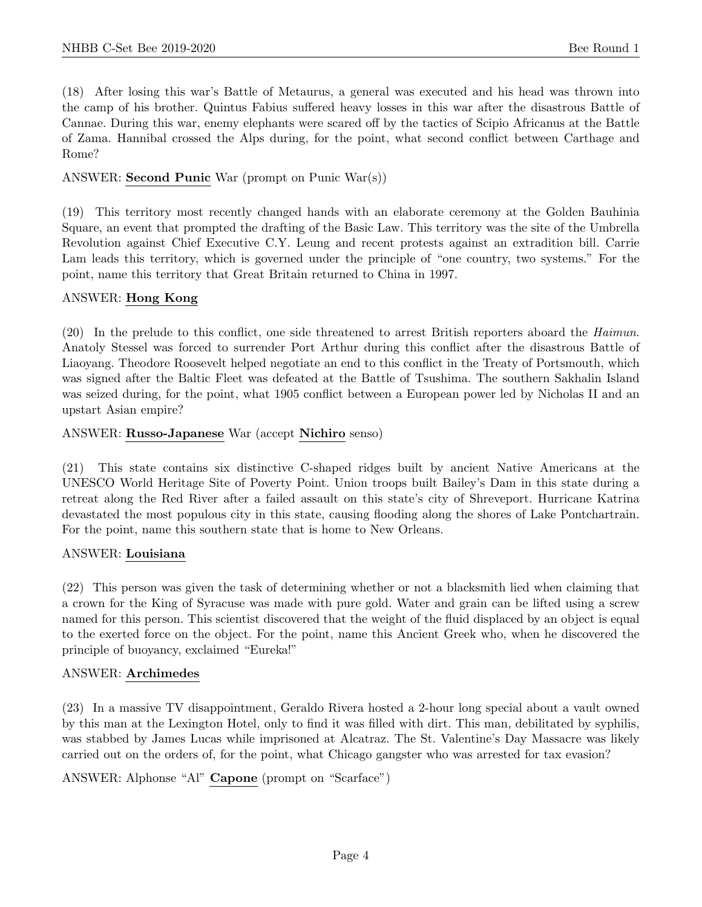(18) After losing this war's Battle of Metaurus, a general was executed and his head was thrown into the camp of his brother. Quintus Fabius suffered heavy losses in this war after the disastrous Battle of Cannae. During this war, enemy elephants were scared off by the tactics of Scipio Africanus at the Battle of Zama. Hannibal crossed the Alps during, for the point, what second conflict between Carthage and Rome?

#### ANSWER: Second Punic War (prompt on Punic War(s))

(19) This territory most recently changed hands with an elaborate ceremony at the Golden Bauhinia Square, an event that prompted the drafting of the Basic Law. This territory was the site of the Umbrella Revolution against Chief Executive C.Y. Leung and recent protests against an extradition bill. Carrie Lam leads this territory, which is governed under the principle of "one country, two systems." For the point, name this territory that Great Britain returned to China in 1997.

#### ANSWER: Hong Kong

(20) In the prelude to this conflict, one side threatened to arrest British reporters aboard the Haimun. Anatoly Stessel was forced to surrender Port Arthur during this conflict after the disastrous Battle of Liaoyang. Theodore Roosevelt helped negotiate an end to this conflict in the Treaty of Portsmouth, which was signed after the Baltic Fleet was defeated at the Battle of Tsushima. The southern Sakhalin Island was seized during, for the point, what 1905 conflict between a European power led by Nicholas II and an upstart Asian empire?

#### ANSWER: Russo-Japanese War (accept Nichiro senso)

(21) This state contains six distinctive C-shaped ridges built by ancient Native Americans at the UNESCO World Heritage Site of Poverty Point. Union troops built Bailey's Dam in this state during a retreat along the Red River after a failed assault on this state's city of Shreveport. Hurricane Katrina devastated the most populous city in this state, causing flooding along the shores of Lake Pontchartrain. For the point, name this southern state that is home to New Orleans.

#### ANSWER: Louisiana

(22) This person was given the task of determining whether or not a blacksmith lied when claiming that a crown for the King of Syracuse was made with pure gold. Water and grain can be lifted using a screw named for this person. This scientist discovered that the weight of the fluid displaced by an object is equal to the exerted force on the object. For the point, name this Ancient Greek who, when he discovered the principle of buoyancy, exclaimed "Eureka!"

#### ANSWER: Archimedes

(23) In a massive TV disappointment, Geraldo Rivera hosted a 2-hour long special about a vault owned by this man at the Lexington Hotel, only to find it was filled with dirt. This man, debilitated by syphilis, was stabbed by James Lucas while imprisoned at Alcatraz. The St. Valentine's Day Massacre was likely carried out on the orders of, for the point, what Chicago gangster who was arrested for tax evasion?

ANSWER: Alphonse "Al" Capone (prompt on "Scarface")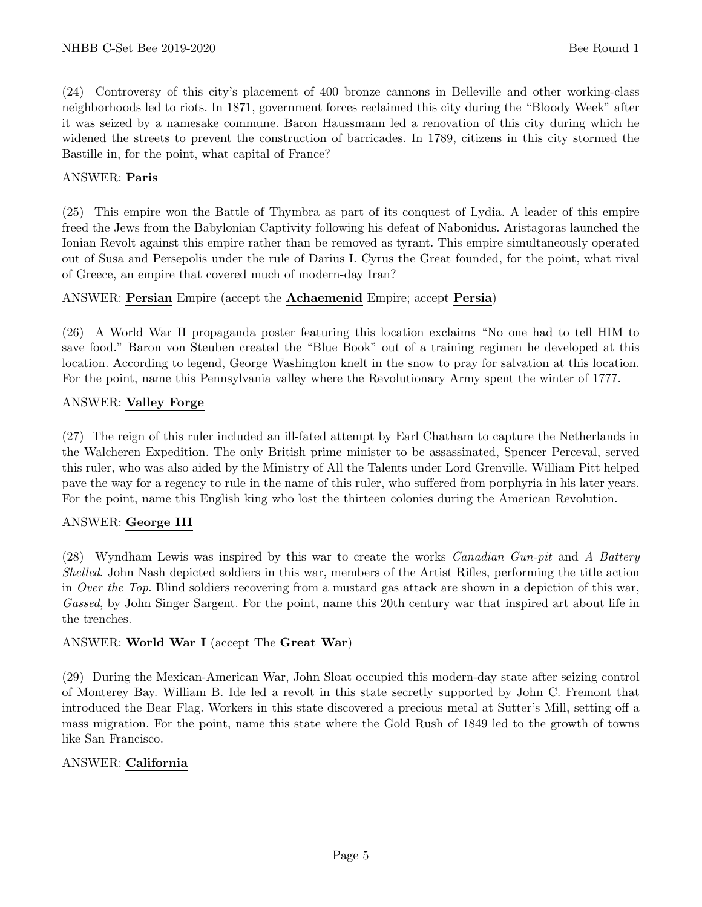(24) Controversy of this city's placement of 400 bronze cannons in Belleville and other working-class neighborhoods led to riots. In 1871, government forces reclaimed this city during the "Bloody Week" after it was seized by a namesake commune. Baron Haussmann led a renovation of this city during which he widened the streets to prevent the construction of barricades. In 1789, citizens in this city stormed the Bastille in, for the point, what capital of France?

#### ANSWER: Paris

(25) This empire won the Battle of Thymbra as part of its conquest of Lydia. A leader of this empire freed the Jews from the Babylonian Captivity following his defeat of Nabonidus. Aristagoras launched the Ionian Revolt against this empire rather than be removed as tyrant. This empire simultaneously operated out of Susa and Persepolis under the rule of Darius I. Cyrus the Great founded, for the point, what rival of Greece, an empire that covered much of modern-day Iran?

#### ANSWER: Persian Empire (accept the Achaemenid Empire; accept Persia)

(26) A World War II propaganda poster featuring this location exclaims "No one had to tell HIM to save food." Baron von Steuben created the "Blue Book" out of a training regimen he developed at this location. According to legend, George Washington knelt in the snow to pray for salvation at this location. For the point, name this Pennsylvania valley where the Revolutionary Army spent the winter of 1777.

#### ANSWER: Valley Forge

(27) The reign of this ruler included an ill-fated attempt by Earl Chatham to capture the Netherlands in the Walcheren Expedition. The only British prime minister to be assassinated, Spencer Perceval, served this ruler, who was also aided by the Ministry of All the Talents under Lord Grenville. William Pitt helped pave the way for a regency to rule in the name of this ruler, who suffered from porphyria in his later years. For the point, name this English king who lost the thirteen colonies during the American Revolution.

#### ANSWER: George III

(28) Wyndham Lewis was inspired by this war to create the works Canadian Gun-pit and A Battery Shelled. John Nash depicted soldiers in this war, members of the Artist Rifles, performing the title action in Over the Top. Blind soldiers recovering from a mustard gas attack are shown in a depiction of this war, Gassed, by John Singer Sargent. For the point, name this 20th century war that inspired art about life in the trenches.

#### ANSWER: World War I (accept The Great War)

(29) During the Mexican-American War, John Sloat occupied this modern-day state after seizing control of Monterey Bay. William B. Ide led a revolt in this state secretly supported by John C. Fremont that introduced the Bear Flag. Workers in this state discovered a precious metal at Sutter's Mill, setting off a mass migration. For the point, name this state where the Gold Rush of 1849 led to the growth of towns like San Francisco.

#### ANSWER: California